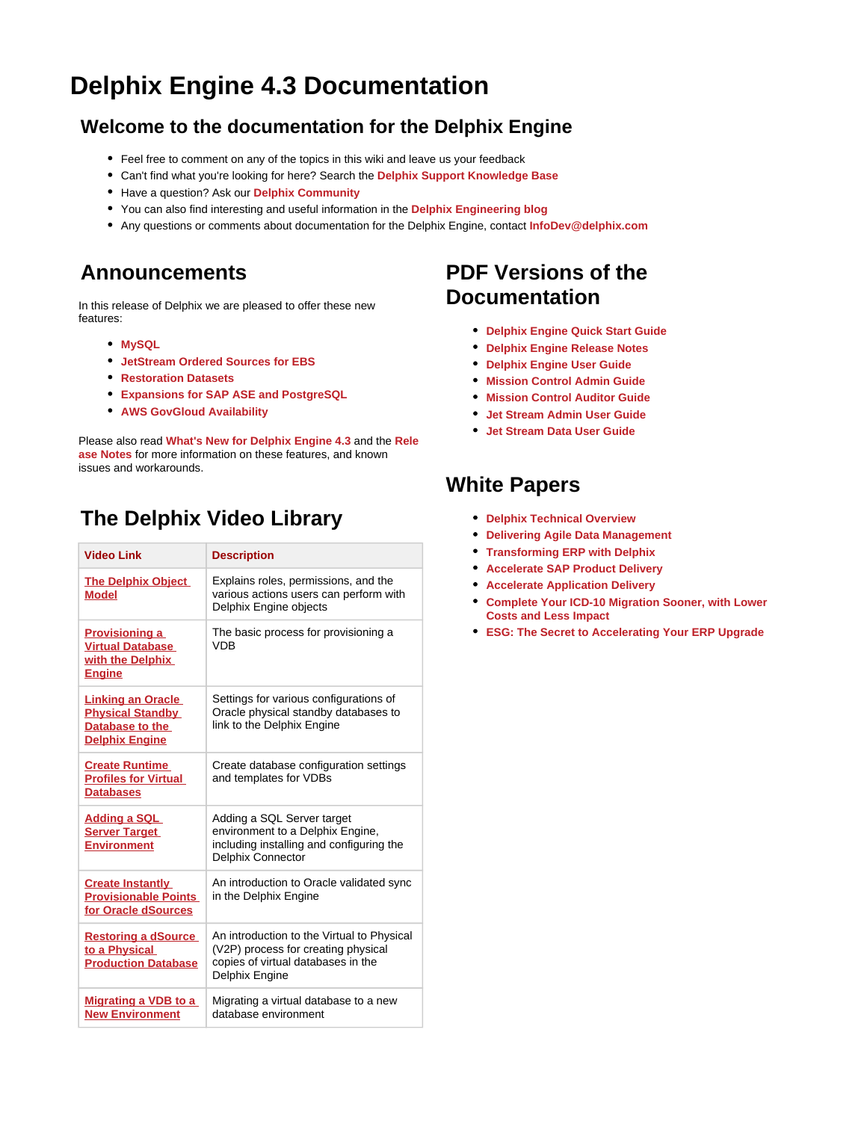# **Delphix Engine 4.3 Documentation**

#### **Welcome to the documentation for the Delphix Engine**

- Feel free to comment on any of the topics in this wiki and leave us your feedback
- Can't find what you're looking for here? Search the **[Delphix Support Knowledge Base](https://support.delphix.com/home)**
- Have a question? Ask our **[Delphix Community](http://community.delphix.com)**
- You can also find interesting and useful information in the **[Delphix Engineering blog](http://blog.delphix.com/)**
- Any questions or comments about documentation for the Delphix Engine, contact **[InfoDev@delphix.com](mailto:InfoDev@delphix.com)**

#### **Announcements**

In this release of Delphix we are pleased to offer these new features:

- **[MySQL](https://docs.delphix.com/pages/viewpage.action?pageId=51970459)**
- **[JetStream Ordered Sources for EBS](https://docs.delphix.com/display/DOCS43/Understanding+Jet+Stream+Data+Templates#UnderstandingJetStreamDataTemplates-OrderingofDataSources)**
- **[Restoration Datasets](https://docs.delphix.com/display/DOCS43/Restoring+Data+from+Unstructured+Files)**
- **[Expansions for SAP ASE and PostgreSQL](https://docs.delphix.com/display/DOCS43/What%27s+New+for+Delphix+Engine)**
- **[AWS GovGloud Availability](https://docs.delphix.com/display/DOCS43/Installing+the+Delphix+Engine#InstallingtheDelphixEngine-AWSCloud)**

Please also read **[What's New for Delphix Engine 4.3](https://docs.delphix.com/display/DOCS43/What%27s+New+for+Delphix+Engine)** and the **[Rele](https://docs.delphix.com/display/DOCS43/Release+Notes) [ase Notes](https://docs.delphix.com/display/DOCS43/Release+Notes)** for more information on these features, and known issues and workarounds.

### **The Delphix Video Library**

| <b>Video Link</b>                                                                               | <b>Description</b>                                                                                                                        |
|-------------------------------------------------------------------------------------------------|-------------------------------------------------------------------------------------------------------------------------------------------|
| <b>The Delphix Object</b><br><b>Model</b>                                                       | Explains roles, permissions, and the<br>various actions users can perform with<br>Delphix Engine objects                                  |
| Provisioning a<br><b>Virtual Database</b><br>with the Delphix<br><b>Engine</b>                  | The basic process for provisioning a<br><b>VDB</b>                                                                                        |
| <b>Linking an Oracle</b><br><b>Physical Standby</b><br>Database to the<br><b>Delphix Engine</b> | Settings for various configurations of<br>Oracle physical standby databases to<br>link to the Delphix Engine                              |
| <b>Create Runtime</b><br><b>Profiles for Virtual</b><br><b>Databases</b>                        | Create database configuration settings<br>and templates for VDBs                                                                          |
| <b>Adding a SQL</b><br><b>Server Target</b><br><b>Environment</b>                               | Adding a SQL Server target<br>environment to a Delphix Engine,<br>including installing and configuring the<br>Delphix Connector           |
| <b>Create Instantly</b><br><b>Provisionable Points</b><br>for Oracle dSources                   | An introduction to Oracle validated sync<br>in the Delphix Engine                                                                         |
| <b>Restoring a dSource</b><br>to a Physical<br><b>Production Database</b>                       | An introduction to the Virtual to Physical<br>(V2P) process for creating physical<br>copies of virtual databases in the<br>Delphix Engine |
| Migrating a VDB to a<br><b>New Environment</b>                                                  | Migrating a virtual database to a new<br>database environment                                                                             |

## **PDF Versions of the Documentation**

- **[Delphix Engine Quick Start Guide](https://docs.delphix.com/download/attachments/52297743/DOCS43-Quick%20Start%20Guide.pdf?version=1&modificationDate=1444345706819&api=v2)**
- **[Delphix Engine Release Notes](https://docs.delphix.com/download/attachments/52297743/DOCS43-release%20notes.pdf?version=1&modificationDate=1444345479480&api=v2)**
- **[Delphix Engine User Guide](https://docs.delphix.com/download/attachments/52297743/DOCS43-User%20Guide.pdf?version=1&modificationDate=1444345200000&api=v2)**
- **[Mission Control Admin Guide](https://docs.delphix.com/download/attachments/52297743/mission%20control.pdf?version=3&modificationDate=1447981920396&api=v2)**
- **[Mission Control Auditor Guide](https://docs.delphix.com/download/attachments/52297743/Mission%20Control%20_View%20Only%20Guide%20Final%20%283%29.pdf?version=1&modificationDate=1439523419335&api=v2)**
- **[Jet Stream Admin User Guide](https://docs.delphix.com/download/attachments/52297743/JetStreamAdminGuideGA.pdf?version=1&modificationDate=1439523419424&api=v2)**
- **[Jet Stream Data User Guide](https://docs.delphix.com/download/attachments/52297743/JetStreamDataUserGuideGA.pdf?version=3&modificationDate=1440518081243&api=v2)**

#### **White Papers**

- **Delphix Technical Overview**
- **[Delivering Agile Data Management](http://cdn2.hubspot.net/hub/321609/file-343540023-pdf/pdfs/WP_-_Delphix_Agile_Data_Management.pdf)**
- **[Transforming ERP with Delphix](http://cdn2.hubspot.net/hub/321609/file-343478448-pdf/pdfs/WPTransforming_ERP_with_DB_Virt.pdf)**
- **[Accelerate SAP Product Delivery](http://cdn2.hubspot.net/hub/321609/file-343514943-pdf/pdfs/Delphix_Platform_SAP.pdf)**
- **[Accelerate Application Delivery](http://cdn2.hubspot.net/hub/321609/file-343531673-pdf/pdfs/Delphix_Platform_Data_Sheet.pdf)**
- **[Complete Your ICD-10 Migration Sooner, with Lower](http://cdn2.hubspot.net/hub/321609/file-346973195-pdf/pdfs/Delphix-Data-Sheet-ICD-10-Migration.pdf)  [Costs and Less Impact](http://cdn2.hubspot.net/hub/321609/file-346973195-pdf/pdfs/Delphix-Data-Sheet-ICD-10-Migration.pdf)**
- **[ESG: The Secret to Accelerating Your ERP Upgrade](http://cdn2.hubspot.net/hub/321609/file-343510778-pdf/pdfs/ESG_WP_Delphix_ERP_Upgrade_Dec_2012.pdf)**